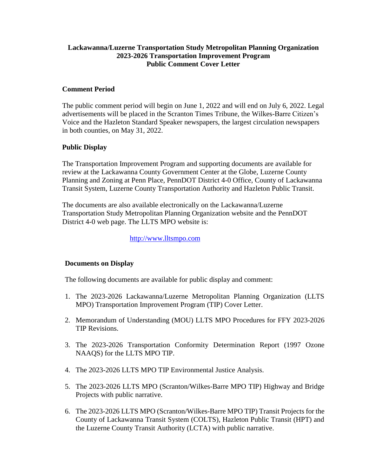## **Lackawanna/Luzerne Transportation Study Metropolitan Planning Organization 2023-2026 Transportation Improvement Program Public Comment Cover Letter**

## **Comment Period**

The public comment period will begin on June 1, 2022 and will end on July 6, 2022. Legal advertisements will be placed in the Scranton Times Tribune, the Wilkes-Barre Citizen's Voice and the Hazleton Standard Speaker newspapers, the largest circulation newspapers in both counties, on May 31, 2022.

# **Public Display**

The Transportation Improvement Program and supporting documents are available for review at the Lackawanna County Government Center at the Globe, Luzerne County Planning and Zoning at Penn Place, PennDOT District 4-0 Office, County of Lackawanna Transit System, Luzerne County Transportation Authority and Hazleton Public Transit.

The documents are also available electronically on the Lackawanna/Luzerne Transportation Study Metropolitan Planning Organization website and the PennDOT District 4-0 web page. The LLTS MPO website is:

[http://www.lltsmpo.com](http://www.lltsmpo.com/)

### **Documents on Display**

The following documents are available for public display and comment:

- 1. The 2023-2026 Lackawanna/Luzerne Metropolitan Planning Organization (LLTS MPO) Transportation Improvement Program (TIP) Cover Letter.
- 2. Memorandum of Understanding (MOU) LLTS MPO Procedures for FFY 2023-2026 TIP Revisions.
- 3. The 2023-2026 Transportation Conformity Determination Report (1997 Ozone NAAQS) for the LLTS MPO TIP.
- 4. The 2023-2026 LLTS MPO TIP Environmental Justice Analysis.
- 5. The 2023-2026 LLTS MPO (Scranton/Wilkes-Barre MPO TIP) Highway and Bridge Projects with public narrative.
- 6. The 2023-2026 LLTS MPO (Scranton/Wilkes-Barre MPO TIP) Transit Projects for the County of Lackawanna Transit System (COLTS), Hazleton Public Transit (HPT) and the Luzerne County Transit Authority (LCTA) with public narrative.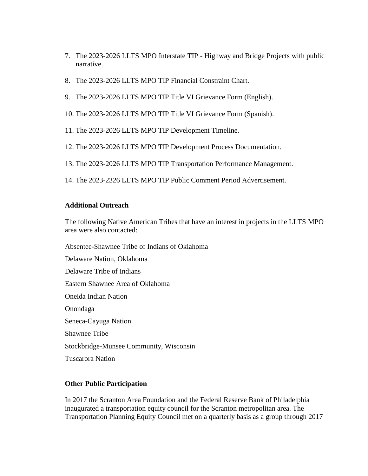- 7. The 2023-2026 LLTS MPO Interstate TIP Highway and Bridge Projects with public narrative.
- 8. The 2023-2026 LLTS MPO TIP Financial Constraint Chart.
- 9. The 2023-2026 LLTS MPO TIP Title VI Grievance Form (English).
- 10. The 2023-2026 LLTS MPO TIP Title VI Grievance Form (Spanish).
- 11. The 2023-2026 LLTS MPO TIP Development Timeline.
- 12. The 2023-2026 LLTS MPO TIP Development Process Documentation.
- 13. The 2023-2026 LLTS MPO TIP Transportation Performance Management.
- 14. The 2023-2326 LLTS MPO TIP Public Comment Period Advertisement.

#### **Additional Outreach**

The following Native American Tribes that have an interest in projects in the LLTS MPO area were also contacted:

Absentee-Shawnee Tribe of Indians of Oklahoma Delaware Nation, Oklahoma Delaware Tribe of Indians Eastern Shawnee Area of Oklahoma Oneida Indian Nation Onondaga Seneca-Cayuga Nation Shawnee Tribe Stockbridge-Munsee Community, Wisconsin Tuscarora Nation

#### **Other Public Participation**

In 2017 the Scranton Area Foundation and the Federal Reserve Bank of Philadelphia inaugurated a transportation equity council for the Scranton metropolitan area. The Transportation Planning Equity Council met on a quarterly basis as a group through 2017